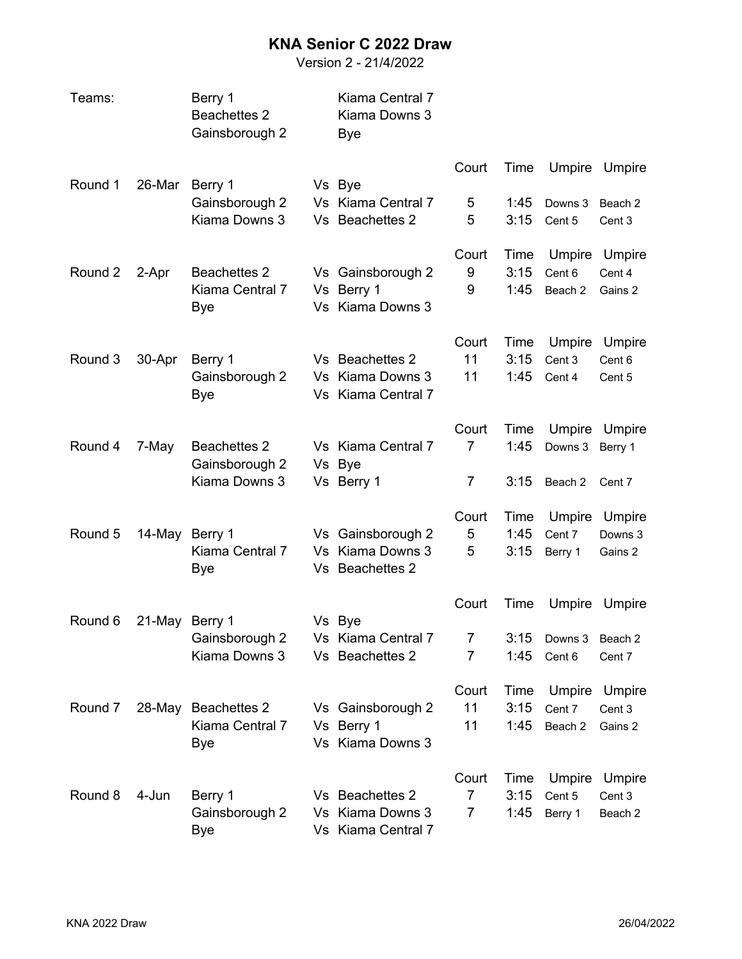## **KNA Senior C 2022 Draw**

Version 2 - 21/4/2022

| Teams:  |                | Berry 1<br><b>Beachettes 2</b><br>Gainsborough 2 | Kiama Central 7<br>Kiama Downs 3<br>Bye |                |      |                   |               |
|---------|----------------|--------------------------------------------------|-----------------------------------------|----------------|------|-------------------|---------------|
| Round 1 | 26-Mar         | Berry 1                                          | Vs Bye                                  | Court          | Time | Umpire            | Umpire        |
|         |                | Gainsborough 2                                   | Vs Kiama Central 7                      | 5              | 1:45 | Downs 3           | Beach 2       |
|         |                | Kiama Downs 3                                    | Vs Beachettes 2                         | 5              | 3:15 | Cent 5            | Cent 3        |
|         |                |                                                  |                                         | Court          | Time | Umpire            | Umpire        |
| Round 2 | 2-Apr          | <b>Beachettes 2</b>                              | Vs Gainsborough 2                       | 9              | 3:15 | Cent 6            | Cent 4        |
|         |                | Kiama Central 7                                  | Vs Berry 1                              | 9              | 1:45 | Beach 2           | Gains 2       |
|         |                | Bye                                              | Vs Kiama Downs 3                        |                |      |                   |               |
|         |                |                                                  |                                         | Court          | Time | Umpire            | Umpire        |
| Round 3 | 30-Apr         | Berry 1                                          | Vs Beachettes 2                         | 11             | 3:15 | Cent 3            | Cent 6        |
|         |                | Gainsborough 2<br>Bye                            | Vs Kiama Downs 3<br>Vs Kiama Central 7  | 11             | 1:45 | Cent 4            | Cent 5        |
|         |                |                                                  |                                         |                |      |                   |               |
|         |                |                                                  |                                         | Court          | Time |                   | Umpire Umpire |
| Round 4 | 7-May          | <b>Beachettes 2</b>                              | Vs Kiama Central 7                      | $\overline{7}$ | 1:45 | Downs 3           | Berry 1       |
|         |                | Gainsborough 2<br>Kiama Downs 3                  | Vs Bye<br>Vs Berry 1                    | 7              | 3:15 | Beach 2           | Cent 7        |
|         |                |                                                  |                                         |                |      |                   |               |
|         |                |                                                  |                                         | Court          | Time | Umpire            | Umpire        |
| Round 5 | 14-May         | Berry 1                                          | Vs Gainsborough 2                       | 5              | 1:45 | Cent 7            | Downs 3       |
|         |                | Kiama Central 7                                  | Vs Kiama Downs 3<br>Vs Beachettes 2     | 5              | 3:15 | Berry 1           | Gains 2       |
|         |                | Bye                                              |                                         |                |      |                   |               |
|         |                |                                                  |                                         | Court          | Time | Umpire            | Umpire        |
| Round 6 | 21-May Berry 1 | Gainsborough 2                                   | Vs Bye<br>Vs Kiama Central 7            | 7              | 3:15 |                   | Beach 2       |
|         |                | Kiama Downs 3                                    | Vs Beachettes 2                         | 7              | 1:45 | Downs 3<br>Cent 6 | Cent 7        |
|         |                |                                                  |                                         |                |      |                   |               |
|         |                |                                                  |                                         | Court          | Time | Umpire            | Umpire        |
| Round 7 |                | 28-May Beachettes 2                              | Vs Gainsborough 2                       | 11             | 3:15 | Cent 7            | Cent 3        |
|         |                | Kiama Central 7                                  | Vs Berry 1<br>Vs Kiama Downs 3          | 11             | 1:45 | Beach 2           | Gains 2       |
|         |                | Bye                                              |                                         |                |      |                   |               |
|         |                |                                                  |                                         | Court          | Time | Umpire            | Umpire        |
| Round 8 | 4-Jun          | Berry 1                                          | Vs Beachettes 2                         | 7              | 3:15 | Cent 5            | Cent 3        |
|         |                | Gainsborough 2<br>Bye                            | Vs Kiama Downs 3<br>Vs Kiama Central 7  | 7              | 1:45 | Berry 1           | Beach 2       |
|         |                |                                                  |                                         |                |      |                   |               |